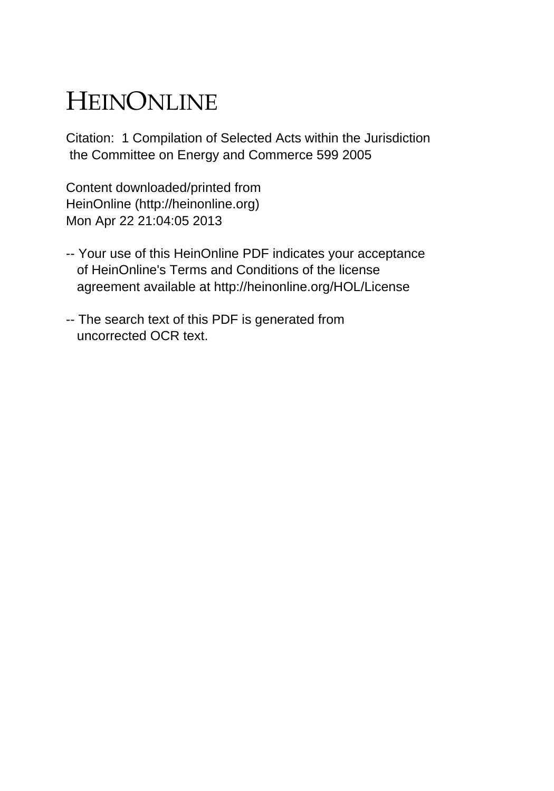# HEINONLINE

Citation: 1 Compilation of Selected Acts within the Jurisdiction the Committee on Energy and Commerce 599 2005

Content downloaded/printed from HeinOnline (http://heinonline.org) Mon Apr 22 21:04:05 2013

- -- Your use of this HeinOnline PDF indicates your acceptance of HeinOnline's Terms and Conditions of the license agreement available at http://heinonline.org/HOL/License
- -- The search text of this PDF is generated from uncorrected OCR text.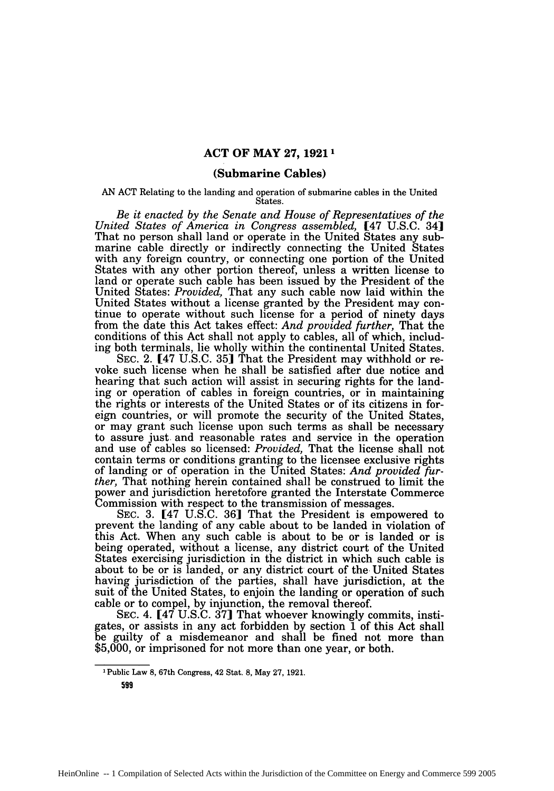## **ACT OF MAY 27, 19211**

### **(Submarine Cables)**

#### **AN ACT** Relating to the landing and operation of submarine cables in the United States.

*Be it enacted by the Senate and House of Representatives of the United States of America in Congress assembled,* [47 U.S.C. 34] That no person shall land or operate in the United States any submarine cable directly or indirectly connecting the United States with any foreign country, or connecting one portion of the United States with any other portion thereof, unless a written license to land or operate such cable has been issued by the President of the United States: *Provided,* That any such cable now laid within the United States without a license granted by the President may continue to operate without such license for a period of ninety days from the date this Act takes effect: *And provided further,* That the conditions of this Act shall not apply to cables, all of which, including both terminals, lie wholly within the continental United States.

SEC. 2. **[47** U.S.C. 35] That the President may withhold or revoke such license when he shall be satisfied after due notice and hearing that such action will assist in securing rights for the landing or operation of cables in foreign countries, or in maintaining the rights or interests of the United States or of its citizens in foreign countries, or will promote the security of the United States, or may grant such license upon such terms as shall be necessary to assure just. and reasonable rates and service in the operation and use of cables so licensed: *Provided,* That the license shall not contain terms or conditions granting to the licensee exclusive rights of landing or of operation in the United States: *And provided further,* That nothing herein contained shall be construed to limit the power and jurisdiction heretofore granted the Interstate Commerce Commission with respect to the transmission of messages.

SEC. 3. [47 U.S.C. 36] That the President is empowered to prevent the landing of any cable about to be landed in violation of this Act. When any such cable is about to be or is landed or is being operated, without a license, any district court of the United States exercising jurisdiction in the district in which such cable is about to be or is landed, or any district court of the United States having jurisdiction of the parties, shall have jurisdiction, at the suit of the United States, to enjoin the landing or operation of such cable or to compel, by injunction, the removal thereof.

SEC. 4. **[47** U.S.C. 37] That whoever knowingly commits, instigates, or assists in any act forbidden by section 1 of this Act shall be guilty of a misdemeanor and shall be fined not more than \$5,000, or imprisoned for not more than one year, or both.

<sup>&#</sup>x27;Public Law **8,** 67th Congress, 42 Stat. **8,** May **27,** 1921.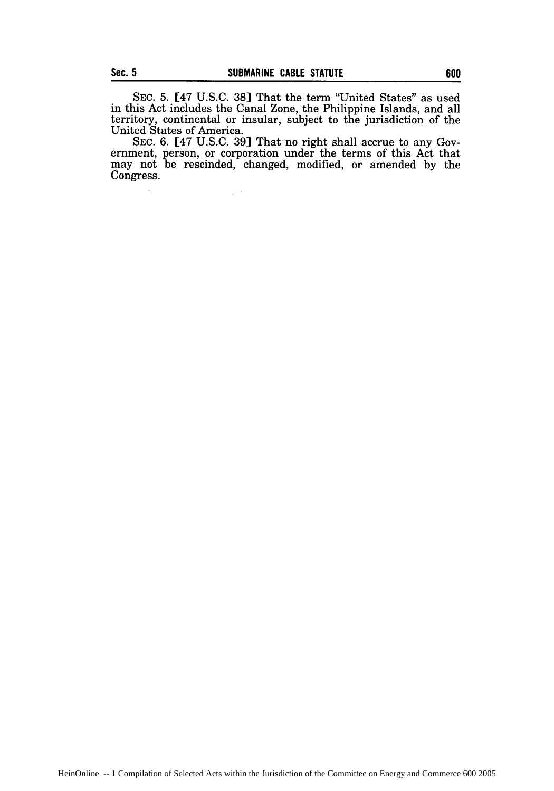SEC. **5.** [47 U.S.C. **381** That the term "United States" as used in this Act includes the Canal Zone, the Philippine Islands, and all territory, continental or insular, subject to the jurisdiction of the United States of America.

SEC. 6. [47 U.S.C. 39] That no right shall accrue to any Government, person, or corporation under the terms of this Act that may not be rescinded, changed, modified, or amended by the Congress.

 $\varphi\to\varphi$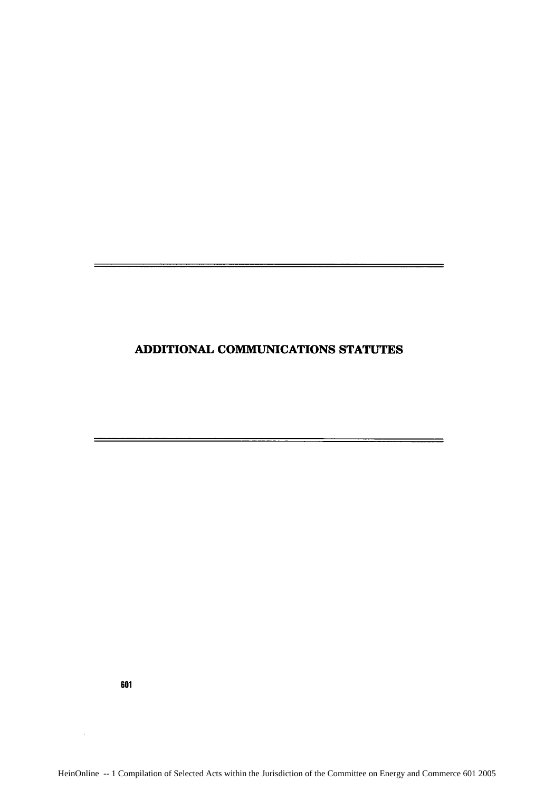# ADDITIONAL **COMMUNICATIONS STATUTES**

601

 $\bar{\mathcal{A}}$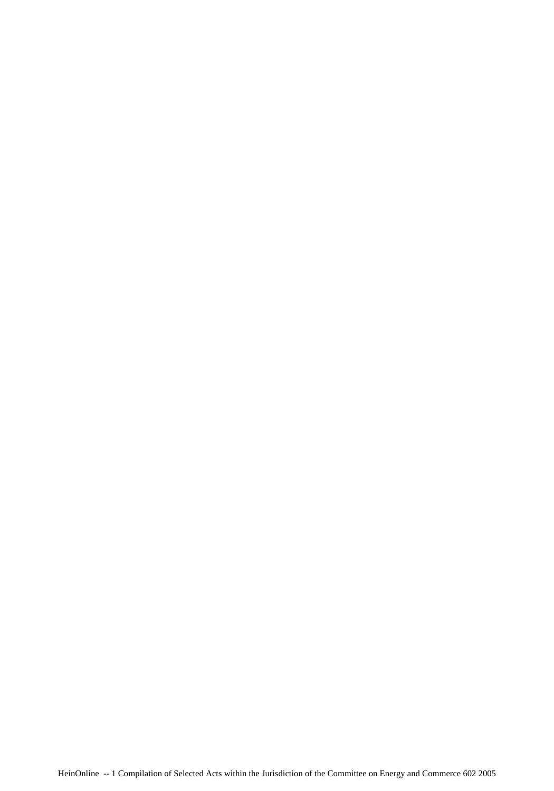HeinOnline -- 1 Compilation of Selected Acts within the Jurisdiction of the Committee on Energy and Commerce 602 2005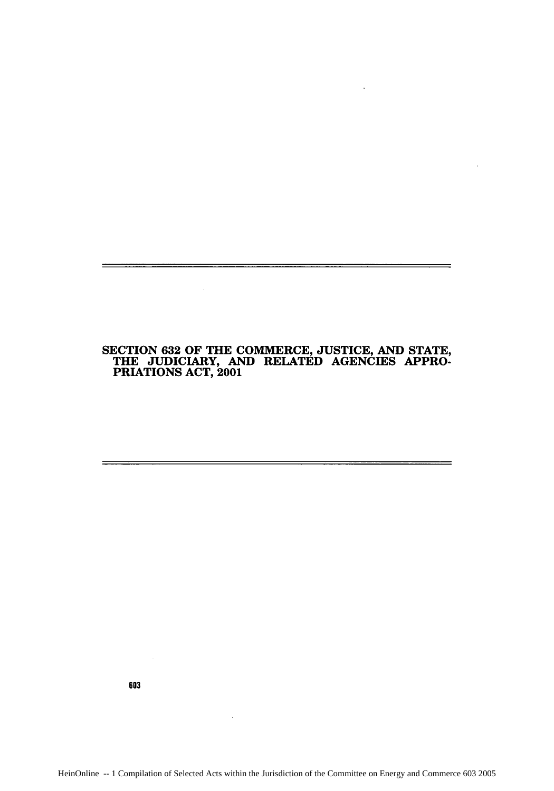# **SECTION 632** OF THE COMMERCE, **JUSTICE, AND STATE,** THE JUDICIARY, **AND** RELATED **AGENCIES** APPRO-PRIATIONS **ACT,** 2001

 $\sim 10^{-11}$ 

603

 $\equiv$ 

 $\bar{\mathcal{A}}$